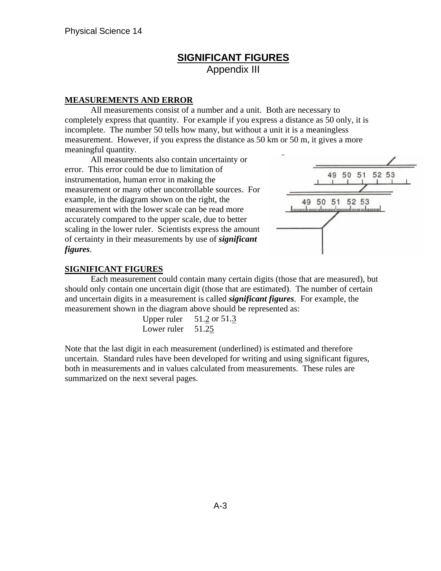# **SIGNIFICANT FIGURES** Appendix III

### **MEASUREMENTS AND ERROR**

All measurements consist of a number and a unit. Both are necessary to completely express that quantity. For example if you express a distance as 50 only, it is incomplete. The number 50 tells how many, but without a unit it is a meaningless measurement. However, if you express the distance as 50 km or 50 m, it gives a more meaningful quantity.

All measurements also contain uncertainty or error. This error could be due to limitation of instrumentation, human error in making the measurement or many other uncontrollable sources. For example, in the diagram shown on the right, the measurement with the lower scale can be read more accurately compared to the upper scale, due to better scaling in the lower ruler. Scientists express the amount of certainty in their measurements by use of *significant figures*.



## **SIGNIFICANT FIGURES**

Each measurement could contain many certain digits (those that are measured), but should only contain one uncertain digit (those that are estimated). The number of certain and uncertain digits in a measurement is called *significant figures*. For example, the measurement shown in the diagram above should be represented as:

| Upper ruler | 51.2 or 51.3 |
|-------------|--------------|
| Lower ruler | 51.25        |

Note that the last digit in each measurement (underlined) is estimated and therefore uncertain. Standard rules have been developed for writing and using significant figures, both in measurements and in values calculated from measurements. These rules are summarized on the next several pages.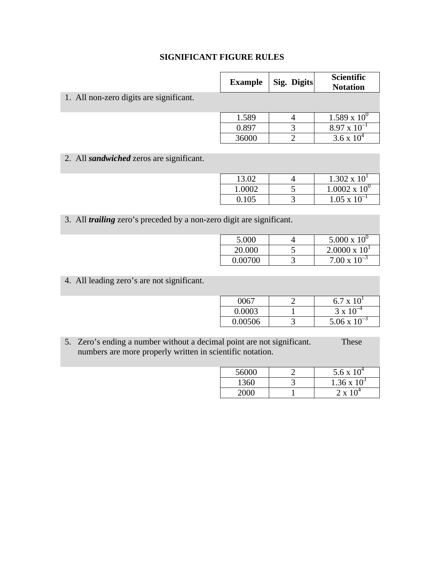# **SIGNIFICANT FIGURE RULES**

|                                                 | <b>Example</b> | Sig. Digits | <b>Scientific</b><br><b>Notation</b> |
|-------------------------------------------------|----------------|-------------|--------------------------------------|
| 1. All non-zero digits are significant.         |                |             |                                      |
|                                                 | 1.589          | 4           | $1.589 \times 10^{0}$                |
|                                                 | 0.897          | 3           | $8.97 \times 10^{-1}$                |
|                                                 | 36000          |             | $3.6 \times 10^{4}$                  |
|                                                 |                |             |                                      |
| 2. All <i>sandwiched</i> zeros are significant. |                |             |                                      |

| 13.02  | $1.302 \times 10^{1}$  |
|--------|------------------------|
| 1.0002 | $1.0002 \times 10^{0}$ |
| 0.105  | $1.05 \times 10^{-1}$  |

3. All *trailing* zero's preceded by a non-zero digit are significant.

| 5.000   | $5.000 \times 10^{0}$  |
|---------|------------------------|
| 20.000  | $2.0000 \times 10^{1}$ |
| 0.00700 | $7.00 \times 10^{-3}$  |

4. All leading zero's are not significant.

| 0067    | $6.7 \times 10^{1}$   |
|---------|-----------------------|
| 0.0003  | $3 \times 10^{-7}$    |
| 0.00506 | $5.06 \times 10^{-3}$ |

5. Zero's ending a number without a decimal point are not significant. These numbers are more properly written in scientific notation.

| 56000 | 5.6 x $10^4$       |
|-------|--------------------|
| 1360  | $1.36 \times 10^3$ |
| 2000  | $2 \times 10^4$    |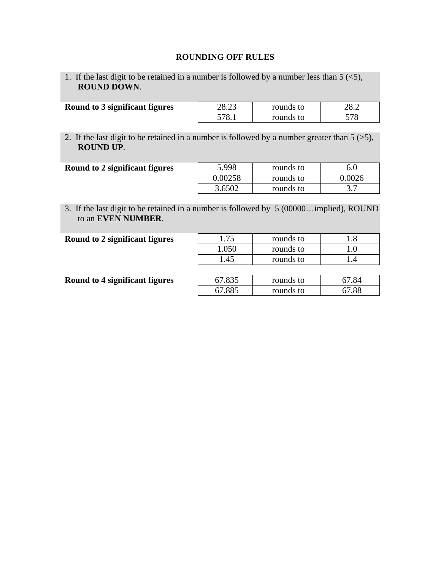## **ROUNDING OFF RULES**

1. If the last digit to be retained in a number is followed by a number less than  $5 \leq 5$ , **ROUND DOWN**.

| Round to 3 significant figures | 28.23 | rounds to | າວ າ<br>40.Z |
|--------------------------------|-------|-----------|--------------|
|                                | 570.  | rounds to | 570          |

2. If the last digit to be retained in a number is followed by a number greater than  $5$  ( $>5$ ), **ROUND UP**.

| Round to 2 significant figures | 5.998   | rounds to | 6.0    |
|--------------------------------|---------|-----------|--------|
|                                | 0.00258 | rounds to | 0.0026 |
|                                | 3.6502  | rounds to |        |

3. If the last digit to be retained in a number is followed by 5 (00000…implied), ROUND to an **EVEN NUMBER**.

| Round to 2 significant figures | 1.75   | rounds to | 1.8   |
|--------------------------------|--------|-----------|-------|
|                                | 1.050  | rounds to |       |
|                                | 1.45   | rounds to | I .4  |
|                                |        |           |       |
| Round to 4 significant figures | 67.835 | rounds to | 67.84 |
|                                | 67.885 | rounds to | 67.88 |